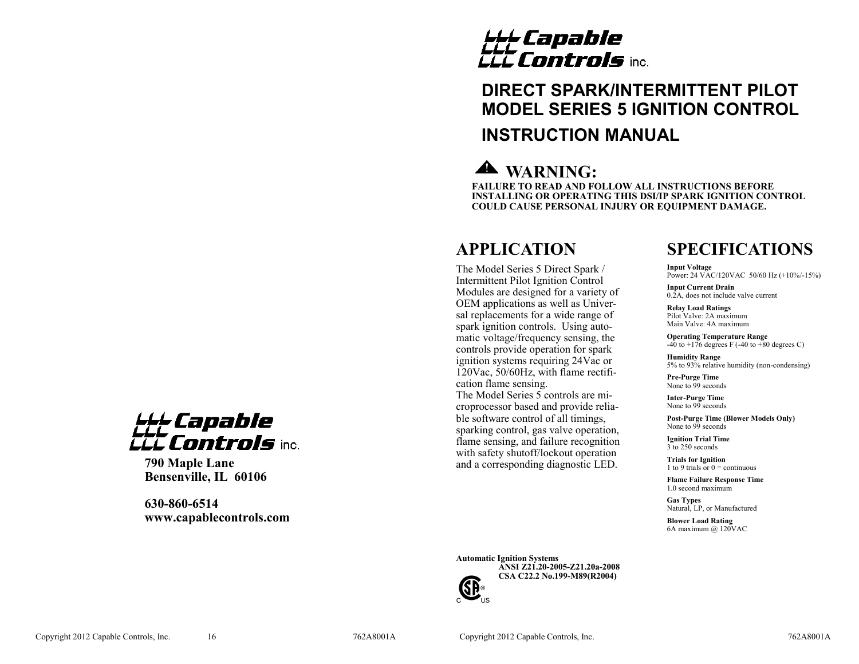# *LLL Capable*<br>LLL **Controls** inc.

## **DIRECT SPARK/INTERMITTENT PILOT MODEL SERIES 5 IGNITION CONTROL INSTRUCTION MANUAL**

## **WARNING:**

**FAILURE TO READ AND FOLLOW ALL INSTRUCTIONS BEFORE INSTALLING OR OPERATING THIS DSI/IP SPARK IGNITION CONTROL COULD CAUSE PERSONAL INJURY OR EQUIPMENT DAMAGE.**

## **APPLICATION**

The Model Series 5 Direct Spark / Intermittent Pilot Ignition Control Modules are designed for a variety of OEM applications as well as Universal replacements for a wide range of spark ignition controls. Using automatic voltage/frequency sensing, the controls provide operation for spark ignition systems requiring 24Vac or 120Vac, 50/60Hz, with flame rectification flame sensing. The Model Series 5 controls are microprocessor based and provide reliable software control of all timings, sparking control, gas valve operation, flame sensing, and failure recognition with safety shutoff/lockout operation and a corresponding diagnostic LED.

## **SPECIFICATIONS**

**Input Voltage** Power: 24 VAC/120VAC 50/60 Hz (+10%/-15%)

**Input Current Drain** 0.2A, does not include valve current

**Relay Load Ratings** Pilot Valve: 2A maximum Main Valve: 4A maximum

**Operating Temperature Range**  $-40$  to  $+176$  degrees F ( $-40$  to  $+80$  degrees C)

**Humidity Range** 5% to 93% relative humidity (non-condensing)

**Pre-Purge Time** None to  $\overline{9}9$  seconds

**Inter-Purge Time** None to 99 seconds

**Post-Purge Time (Blower Models Only)** None to 99 seconds

**Ignition Trial Time** 3 to 250 seconds

**Trials for Ignition** 1 to 9 trials or  $0 =$  continuous

**Flame Failure Response Time** 1.0 second maximum

**Gas Types** Natural, LP, or Manufactured

**Blower Load Rating** 6A maximum @ 120VAC

## LLL Capable<br>LLL captuola *ili Controls* inc.

**790 Maple Lane Bensenville, IL 60106**

**630-860-6514 www.capablecontrols.com**

> **Automatic Ignition Systems ANSI Z21.20-2005-Z21.20a-2008 CSA C22.2 No.199-M89(R2004)**



Copyright 2012 Capable Controls, Inc. 16 762A8001A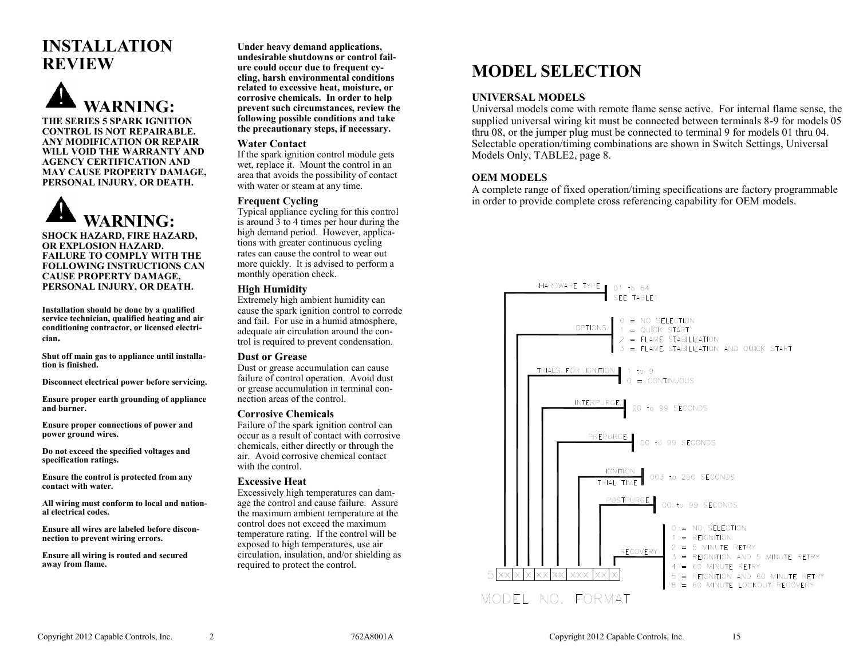## **INSTALLATION REVIEW**





**SHOCK HAZARD, FIRE HAZARD, OR EXPLOSION HAZARD. FAILURE TO COMPLY WITH THE FOLLOWING INSTRUCTIONS CAN CAUSE PROPERTY DAMAGE, PERSONAL INJURY, OR DEATH.**

**Installation should be done by a qualified service technician, qualified heating and air conditioning contractor, or licensed electrician.**

**Shut off main gas to appliance until installation is finished.**

**Disconnect electrical power before servicing.**

**Ensure proper earth grounding of appliance and burner.**

**Ensure proper connections of power and power ground wires.**

**Do not exceed the specified voltages and specification ratings.**

**Ensure the control is protected from any contact with water.**

**All wiring must conform to local and national electrical codes.**

**Ensure all wires are labeled before disconnection to prevent wiring errors.**

**Ensure all wiring is routed and secured away from flame.**

**Under heavy demand applications, undesirable shutdowns or control failure could occur due to frequent cycling, harsh environmental conditions related to excessive heat, moisture, or corrosive chemicals. In order to help prevent such circumstances, review the following possible conditions and take the precautionary steps, if necessary.**

#### **Water Contact**

If the spark ignition control module gets wet, replace it. Mount the control in an area that avoids the possibility of contact with water or steam at any time.

#### **Frequent Cycling**

Typical appliance cycling for this control is around 3 to 4 times per hour during the high demand period. However, applications with greater continuous cycling rates can cause the control to wear out more quickly. It is advised to perform a monthly operation check.

#### **High Humidity**

Extremely high ambient humidity can cause the spark ignition control to corrode and fail. For use in a humid atmosphere, adequate air circulation around the control is required to prevent condensation.

#### **Dust or Grease**

Dust or grease accumulation can cause failure of control operation. Avoid dust or grease accumulation in terminal connection areas of the control.

#### **Corrosive Chemicals**

Failure of the spark ignition control can occur as a result of contact with corrosive chemicals, either directly or through the air. Avoid corrosive chemical contact with the control

#### **Excessive Heat**

Excessively high temperatures can damage the control and cause failure. Assure the maximum ambient temperature at the control does not exceed the maximum temperature rating. If the control will be exposed to high temperatures, use air circulation, insulation, and/or shielding as required to protect the control.

## **MODEL SELECTION**

### **UNIVERSAL MODELS**

Universal models come with remote flame sense active. For internal flame sense, the supplied universal wiring kit must be connected between terminals 8-9 for models 05 thru 08, or the jumper plug must be connected to terminal 9 for models 01 thru 04. Selectable operation/timing combinations are shown in Switch Settings, Universal Models Only, TABLE2, page 8.

### **OEM MODELS**

A complete range of fixed operation/timing specifications are factory programmable in order to provide complete cross referencing capability for OEM models.

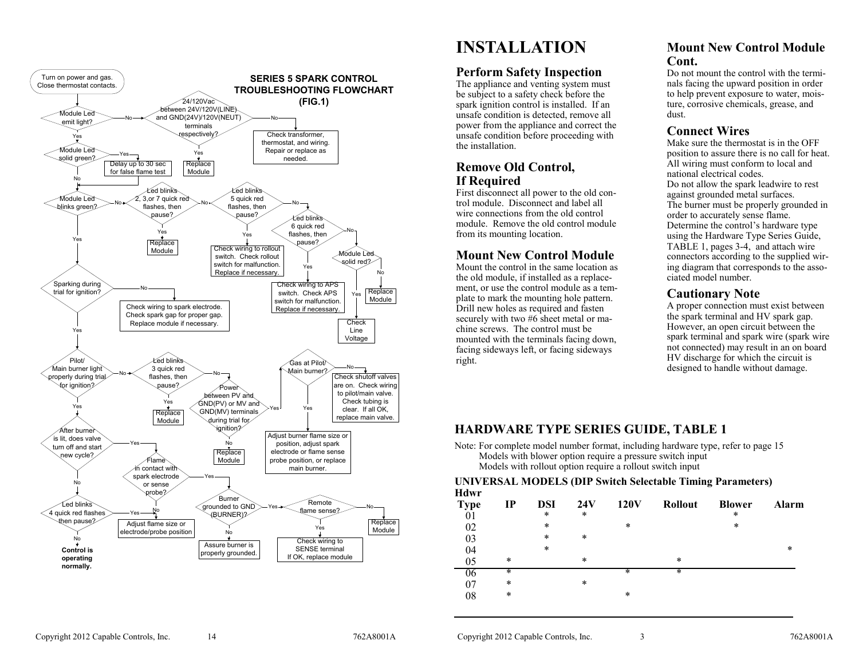

## **INSTALLATION**

## **Perform Safety Inspection**

The appliance and venting system must be subject to a safety check before the spark ignition control is installed. If an unsafe condition is detected, remove all power from the appliance and correct the unsafe condition before proceeding with the installation.

## **Remove Old Control, If Required**

First disconnect all power to the old control module. Disconnect and label all wire connections from the old control module. Remove the old control module from its mounting location.

## **Mount New Control Module**

Mount the control in the same location as the old module, if installed as a replacement, or use the control module as a template to mark the mounting hole pattern. Drill new holes as required and fasten securely with two #6 sheet metal or machine screws. The control must be mounted with the terminals facing down, facing sideways left, or facing sideways right.

## **Mount New Control Module Cont.**

Do not mount the control with the terminals facing the upward position in order to help prevent exposure to water, moisture, corrosive chemicals, grease, and dust.

## **Connect Wires**

Make sure the thermostat is in the OFF position to assure there is no call for heat. All wiring must conform to local and national electrical codes. Do not allow the spark leadwire to rest against grounded metal surfaces. The burner must be properly grounded in order to accurately sense flame. Determine the control's hardware type using the Hardware Type Series Guide, TABLE 1, pages 3-4, and attach wire connectors according to the supplied wiring diagram that corresponds to the associated model number.

## **Cautionary Note**

A proper connection must exist between the spark terminal and HV spark gap. However, an open circuit between the spark terminal and spark wire (spark wire not connected) may result in an on board HV discharge for which the circuit is designed to handle without damage.

## **HARDWARE TYPE SERIES GUIDE, TABLE 1**

Note: For complete model number format, including hardware type, refer to page 15 Models with blower option require a pressure switch input Models with rollout option require a rollout switch input

#### **UNIVERSAL MODELS (DIP Switch Selectable Timing Parameters) Hdwr**

| <b>Type</b> | $_{\rm IP}$ | DSI | 24V    | <b>120V</b> | <b>Rollout</b> | <b>Blower</b> | Alarm |
|-------------|-------------|-----|--------|-------------|----------------|---------------|-------|
| 01          |             | *   | $\ast$ |             |                | *             |       |
| 02          |             | *   |        | *           |                | *             |       |
| 03          |             | *   | $\ast$ |             |                |               |       |
| 04          |             | *   |        |             |                |               | *     |
| 05          | *           |     | $\ast$ |             | $\ast$         |               |       |
| 06          | *           |     |        | *           | $\ast$         |               |       |
| 07          | *           |     | $\ast$ |             |                |               |       |
| 08          | *           |     |        | *           |                |               |       |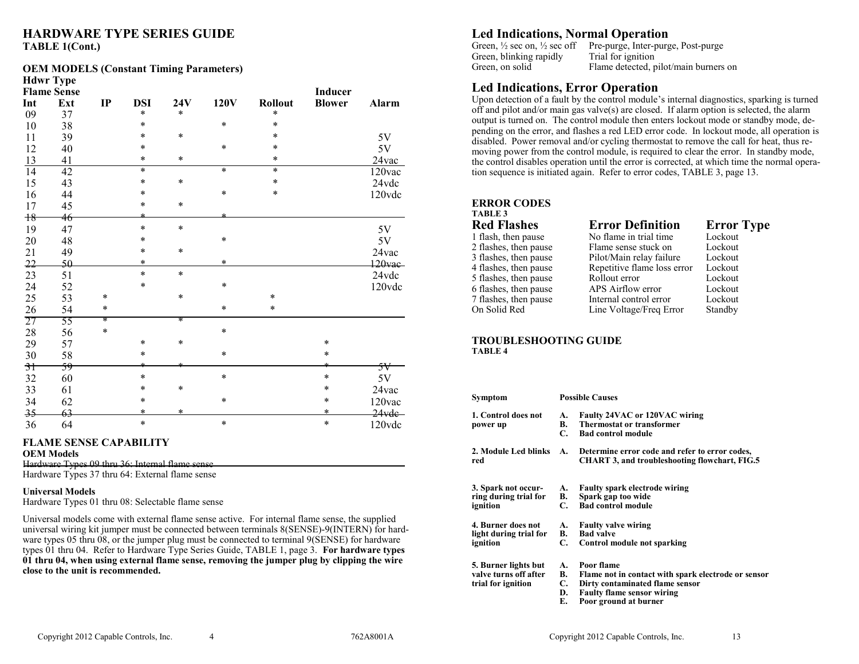## **HARDWARE TYPE SERIES GUIDE TABLE 1(Cont.)**

#### **OEM MODELS (Constant Timing Parameters)**

|                 | <b>Hdwr Type</b>   |        |            |        |             |                |                |           |
|-----------------|--------------------|--------|------------|--------|-------------|----------------|----------------|-----------|
|                 | <b>Flame Sense</b> |        |            |        |             |                | <b>Inducer</b> |           |
| Int             | Ext                | IP     | <b>DSI</b> | 24V    | <b>120V</b> | <b>Rollout</b> | <b>Blower</b>  | Alarm     |
| 09              | 37                 |        | $\ast$     | $\ast$ |             | $\ast$         |                |           |
| 10              | 38                 |        | $\ast$     |        | $\ast$      | $\ast$         |                |           |
| 11              | 39                 |        | $\ast$     | $\ast$ |             | $\ast$         |                | 5V        |
| 12              | 40                 |        | *          |        | *           | $\ast$         |                | 5V        |
| 13              | 41                 |        | $\ast$     | *      |             | $\ast$         |                | 24vac     |
| $\overline{14}$ | 42                 |        | $\ast$     |        | $\ast$      | $\ast$         |                | 120vac    |
| 15              | 43                 |        | $\ast$     | $\ast$ |             | $\ast$         |                | 24vdc     |
| 16              | 44                 |        | $\ast$     |        | $\ast$      | $\ast$         |                | 120vdc    |
| 17              | 45                 |        | $\ast$     | $\ast$ |             |                |                |           |
| 18              | 46                 |        | $\star$    |        |             |                |                |           |
| 19              | 47                 |        | $\ast$     | $\ast$ |             |                |                | 5V        |
| 20              | 48                 |        | $\ast$     |        | $\ast$      |                |                | 5V        |
| 21              | 49                 |        | $\ast$     | *      |             |                |                | 24vac     |
| 22              | 50                 |        | $\ast$     |        | *           |                |                | $120$ vac |
| 23              | 51                 |        | $\ast$     | $\ast$ |             |                |                | 24vdc     |
| 24              | 52                 |        | $\ast$     |        | $\ast$      |                |                | 120vdc    |
| 25              | 53                 | $\ast$ |            | $\ast$ |             | $\ast$         |                |           |
| 26              | 54                 | $\ast$ |            |        | $\ast$      | $\ast$         |                |           |
| 27              | 55                 | *      |            | *      |             |                |                |           |
| 28              | 56                 | $\ast$ |            |        | $\ast$      |                |                |           |
| 29              | 57                 |        | $\ast$     | *      |             |                | $\ast$         |           |
| 30              | 58                 |        | $\ast$     |        | $\ast$      |                | $\ast$         |           |
| 3 <sub>1</sub>  | 59                 |        | ÷          |        |             |                | ÷              | 5V        |
| 32              | 60                 |        | $\ast$     |        | $\ast$      |                | $\ast$         | 5V        |
| 33              | 61                 |        | $\ast$     | $\ast$ |             |                | $\ast$         | 24vac     |
| 34              | 62                 |        | $\ast$     |        | *           |                | *              | 120vac    |
| 35              | 63                 |        | $\ast$     | $\ast$ |             |                | $\ast$         | 24vde     |
| 36              | 64                 |        | $\ast$     |        | $\ast$      |                | $\ast$         | 120vdc    |

#### **FLAME SENSE CAPABILITY**

#### **OEM Models**

Hardware Types 09 thru 36: Internal flame sense

Hardware Types 37 thru 64: External flame sense

#### **Universal Models**

Hardware Types 01 thru 08: Selectable flame sense

Universal models come with external flame sense active. For internal flame sense, the supplied universal wiring kit jumper must be connected between terminals 8(SENSE)-9(INTERN) for hardware types 05 thru 08, or the jumper plug must be connected to terminal 9(SENSE) for hardware types 01 thru 04. Refer to Hardware Type Series Guide, TABLE 1, page 3. **For hardware types 01 thru 04, when using external flame sense, removing the jumper plug by clipping the wire close to the unit is recommended.**

## **Led Indications, Normal Operation**

| Pre-purge, Inter-purge, Post-purge    |
|---------------------------------------|
| Trial for ignition                    |
| Flame detected, pilot/main burners on |
|                                       |

## **Led Indications, Error Operation**

Upon detection of a fault by the control module's internal diagnostics, sparking is turned off and pilot and/or main gas valve(s) are closed. If alarm option is selected, the alarm output is turned on. The control module then enters lockout mode or standby mode, depending on the error, and flashes a red LED error code. In lockout mode, all operation is disabled. Power removal and/or cycling thermostat to remove the call for heat, thus removing power from the control module, is required to clear the error. In standby mode, the control disables operation until the error is corrected, at which time the normal operation sequence is initiated again. Refer to error codes, TABLE 3, page 13.

#### **ERROR CODES**

### **TABLE 3**

| <b>Red Flashes</b>    | <b>Error Definition</b>     | <b>Error Type</b> |
|-----------------------|-----------------------------|-------------------|
| 1 flash, then pause   | No flame in trial time      | Lockout           |
| 2 flashes, then pause | Flame sense stuck on        | Lockout           |
| 3 flashes, then pause | Pilot/Main relay failure    | Lockout           |
| 4 flashes, then pause | Repetitive flame loss error | Lockout           |
| 5 flashes, then pause | Rollout error               | Lockout           |
| 6 flashes, then pause | APS Airflow error           | Lockout           |
| 7 flashes, then pause | Internal control error      | Lockout           |
| On Solid Red          | Line Voltage/Freq Error     | Standby           |

#### **TROUBLESHOOTING GUIDE TABLE 4**

| Symptom                | <b>Possible Causes</b> |                                                      |  |  |  |
|------------------------|------------------------|------------------------------------------------------|--|--|--|
| 1. Control does not    | А.                     | Faulty 24VAC or 120VAC wiring                        |  |  |  |
| power up               | В.                     | <b>Thermostat or transformer</b>                     |  |  |  |
|                        | С.                     | <b>Bad control module</b>                            |  |  |  |
| 2. Module Led blinks   | А.                     | Determine error code and refer to error codes,       |  |  |  |
| red                    |                        | <b>CHART 3, and troubleshooting flowchart, FIG.5</b> |  |  |  |
| 3. Spark not occur-    | А.                     | Faulty spark electrode wiring                        |  |  |  |
| ring during trial for  | В.                     | Spark gap too wide                                   |  |  |  |
|                        | C.                     | <b>Bad control module</b>                            |  |  |  |
| ignition               |                        |                                                      |  |  |  |
| 4. Burner does not     | А.                     | <b>Faulty valve wiring</b>                           |  |  |  |
| light during trial for | B.                     | <b>Bad valve</b>                                     |  |  |  |
| ignition               | C.                     | Control module not sparking                          |  |  |  |
| 5. Burner lights but   | А.                     | Poor flame                                           |  |  |  |
| valve turns off after  | В.                     | Flame not in contact with spark electrode or sensor  |  |  |  |
| trial for ignition     | C.                     | Dirty contaminated flame sensor                      |  |  |  |
|                        | D.                     | <b>Faulty flame sensor wiring</b>                    |  |  |  |
|                        |                        |                                                      |  |  |  |

**E. Poor ground at burner**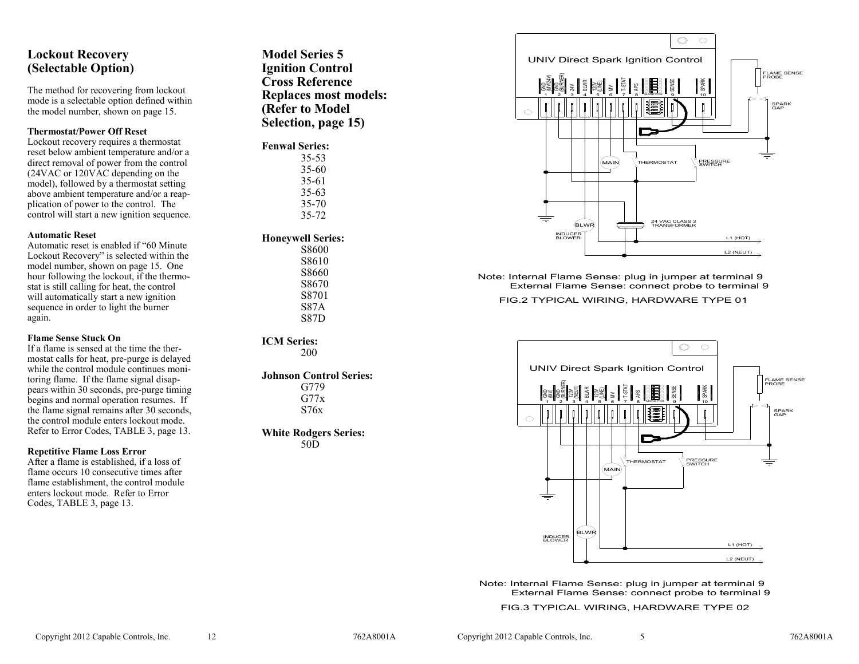## **Lockout Recovery (Selectable Option)**

The method for recovering from lockout mode is a selectable option defined within the model number, shown on page 15.

#### **Thermostat/Power Off Reset**

Lockout recovery requires a thermostat reset below ambient temperature and/or a direct removal of power from the control (24VAC or 120VAC depending on the model), followed by a thermostat setting above ambient temperature and/or a reapplication of power to the control. The control will start a new ignition sequence.

#### **Automatic Reset**

Automatic reset is enabled if "60 Minute Lockout Recovery" is selected within the model number, shown on page 15. One hour following the lockout, if the thermostat is still calling for heat, the control will automatically start a new ignition sequence in order to light the burner again.

#### **Flame Sense Stuck On**

If a flame is sensed at the time the thermostat calls for heat, pre-purge is delayed while the control module continues monitoring flame. If the flame signal disappears within 30 seconds, pre-purge timing begins and normal operation resumes. If the flame signal remains after 30 seconds, the control module enters lockout mode. Refer to Error Codes, TABLE 3, page 13.

#### **Repetitive Flame Loss Error**

After a flame is established, if a loss of flame occurs 10 consecutive times after flame establishment, the control module enters lockout mode. Refer to Error Codes, TABLE 3, page 13.

**Model Series 5 Ignition Control Cross Reference Replaces most models: (Refer to Model Selection, page 15)**

#### **Fenwal Series:**

35 -53 35 -60 35 -61 35 -63 35 -70 35 -72

#### **Honeywell Series:**

S8600 S8610 S8660 S8670 S8701 S87A S87D

**ICM Series:** 200

#### **Johnson Control Series:**

G779  $G77x$ S76x

#### **White Rodgers Series:**

50D



Note: Internal Flame Sense: plug in jumper at terminal 9 External Flame Sense: connect probe to terminal 9

FIG.2 TYPICAL WIRING, HARDWARE TYPE 01



Note: Internal Flame Sense: plug in jumper at terminal 9 External Flame Sense: connect probe to terminal 9

FIG.3 TYPICAL WIRING, HARDWARE TYPE 02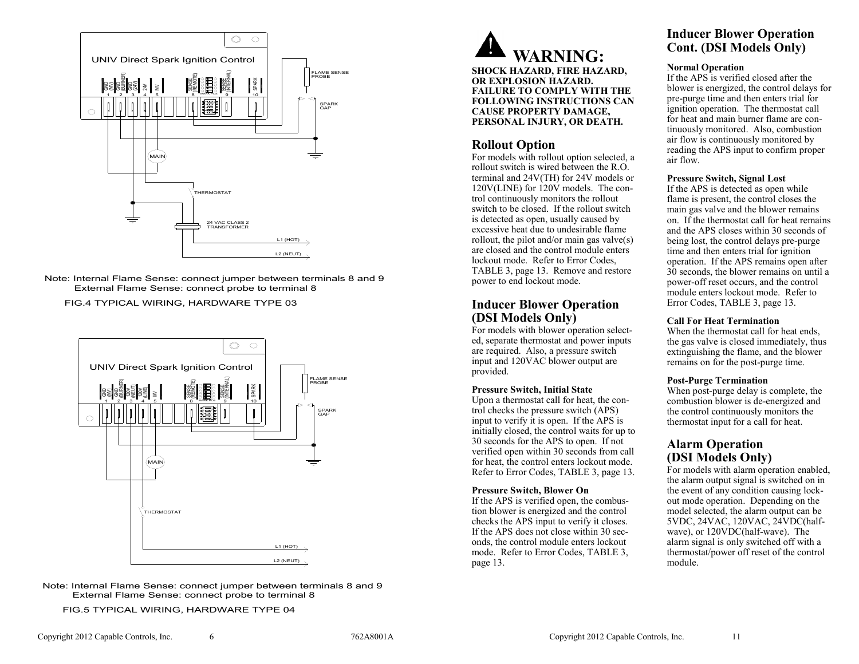

Note: Internal Flame Sense: connect jumper between terminals 8 and 9

FIG.4 TYPICAL WIRING, HARDWARE TYPE 03



Note: Internal Flame Sense: connect jumper between terminals 8 and 9

FIG.5 TYPICAL WIRING, HARDWARE TYPE 04

### **Rollout Option**

For models with rollout option selected, a rollout switch is wired between the R.O. terminal and 24V(TH) for 24V models or 120V(LINE) for 120V models. The control continuously monitors the rollout switch to be closed. If the rollout switch is detected as open, usually caused by excessive heat due to undesirable flame rollout, the pilot and/or main gas valve(s) are closed and the control module enters lockout mode. Refer to Error Codes, TABLE 3, page 13. Remove and restore power to end lockout mode.

## **Inducer Blower Operation (DSI Models Only)**

For models with blower operation selected, separate thermostat and power inputs are required. Also, a pressure switch input and 120VAC blower output are provided.

#### **Pressure Switch, Initial State**

Upon a thermostat call for heat, the control checks the pressure switch (APS) input to verify it is open. If the APS is initially closed, the control waits for up to 30 seconds for the APS to open. If not verified open within 30 seconds from call for heat, the control enters lockout mode. Refer to Error Codes, TABLE 3, page 13.

#### **Pressure Switch, Blower On**

If the APS is verified open, the combustion blower is energized and the control checks the APS input to verify it closes. If the APS does not close within 30 seconds, the control module enters lockout mode. Refer to Error Codes, TABLE 3, page 13.

## **Inducer Blower Operation Cont. (DSI Models Only)**

#### **Normal Operation**

If the APS is verified closed after the blower is energized, the control delays for pre -purge time and then enters trial for ignition operation. The thermostat call for heat and main burner flame are continuously monitored. Also, combustion air flow is continuously monitored by reading the APS input to confirm proper air flow.

#### **Pressure Switch, Signal Lost**

If the APS is detected as open while flame is present, the control closes the main gas valve and the blower remains on. If the thermostat call for heat remains and the APS closes within 30 seconds of being lost, the control delays pre -purge time and then enters trial for ignition operation. If the APS remains open after 30 seconds, the blower remains on until a power -off reset occurs, and the control module enters lockout mode. Refer to Error Codes, TABLE 3, page 13.

#### **Call For Heat Termination**

When the thermostat call for heat ends, the gas valve is closed immediately, thus extinguishing the flame, and the blower remains on for the post -purge time.

### **Post -Purge Termination**

When post -purge delay is complete, the combustion blower is de -energized and the control continuously monitors the thermostat input for a call for heat.

## **Alarm Operation (DSI Models Only)**

For models with alarm operation enabled, the alarm output signal is switched on in the event of any condition causing lockout mode operation. Depending on the model selected, the alarm output can be 5VDC, 24VAC, 120VAC, 24VDC(halfwave), or 120VDC(half-wave). The alarm signal is only switched off with a thermostat/power off reset of the control module.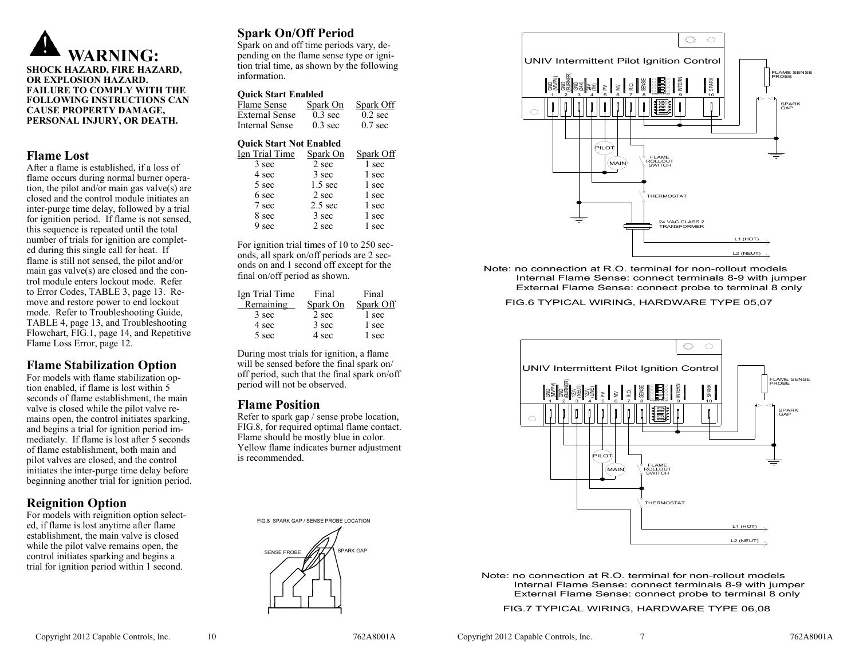

**SHOCK HAZARD, FIRE HAZARD, OR EXPLOSION HAZARD. FAILURE TO COMPLY WITH THE FOLLOWING INSTRUCTIONS CAN CAUSE PROPERTY DAMAGE, PERSONAL INJURY, OR DEATH.**

### **Flame Lost**

After a flame is established, if a loss of flame occurs during normal burner operation, the pilot and/or main gas valve(s) are closed and the control module initiates an inter -purge time delay, followed by a trial for ignition period. If flame is not sensed, this sequence is repeated until the total number of trials for ignition are completed during this single call for heat. If flame is still not sensed, the pilot and/or main gas valve(s) are closed and the control module enters lockout mode. Refer to Error Codes, TABLE 3, page 13. Remove and restore power to end lockout mode. Refer to Troubleshooting Guide, TABLE 4, page 13, and Troubleshooting Flowchart, FIG.1, page 14, and Repetitive Flame Loss Error, page 12.

## **Flame Stabilization Option**

For models with flame stabilization option enabled, if flame is lost within 5 seconds of flame establishment, the main valve is closed while the pilot valve remains open, the control initiates sparking, and begins a trial for ignition period immediately. If flame is lost after 5 seconds of flame establishment, both main and pilot valves are closed, and the control initiates the inter -purge time delay before beginning another trial for ignition period.

## **Reignition Option**

For models with reignition option selected, if flame is lost anytime after flame establishment, the main valve is closed while the pilot valve remains open, the control initiates sparking and begins a trial for ignition period within 1 second.

## **Spark On/Off Period**

Spark on and off time periods vary, depending on the flame sense type or ignition trial time, as shown by the following information.

#### **Quick Start Enabled**

| Flame Sense    | Spark On          | Spark Off         |
|----------------|-------------------|-------------------|
| External Sense | $0.3 \text{ sec}$ | $0.2 \text{ sec}$ |
| Internal Sense | $0.3 \text{ sec}$ | $0.7 \text{ sec}$ |

#### **Quick Start Not Enabled** Ign Trial Time Spark On Spark Off 3 sec 2 sec 1 sec 4 sec 3 sec 1 sec 5 sec 1.5 sec 1 sec  $6 \text{ sec}$   $2 \text{ sec}$   $1 \text{ sec}$ 7 sec 2.5 sec 1 sec  $8 \text{ sec}$   $3 \text{ sec}$   $1 \text{ sec}$ 9 sec 2 sec 1 sec

For ignition trial times of 10 to 250 seconds, all spark on/off periods are 2 seconds on and 1 second off except for the final on/off period as shown.

| Ign Trial Time | Final    | Final     |
|----------------|----------|-----------|
| Remaining      | Spark On | Spark Off |
| 3 sec          | 2 sec    | 1 sec     |
| 4 sec          | 3 sec    | 1 sec     |
| 5 sec          | 4 sec    | 1 sec     |
|                |          |           |

During most trials for ignition, a flame will be sensed before the final spark on/ off period, such that the final spark on/off period will not be observed.

### **Flame Position**

Refer to spark gap / sense probe location, FIG.8, for required optimal flame contact. Flame should be mostly blue in color. Yellow flame indicates burner adjustment is recommended.

FIG.8 SPARK GAP / SENSE PROBE LOCATION





Note: no connection at R.O. terminal for non-rollout models Internal Flame Sense: connect terminals 8-9 with jumper External Flame Sense: connect probe to terminal 8 only

FIG.6 TYPICAL WIRING, HARDWARE TYPE 05,07



Note: no connection at R.O. terminal for non-rollout models Internal Flame Sense: connect terminals 8-9 with jumper External Flame Sense: connect probe to terminal 8 only

FIG.7 TYPICAL WIRING, HARDWARE TYPE 06,08